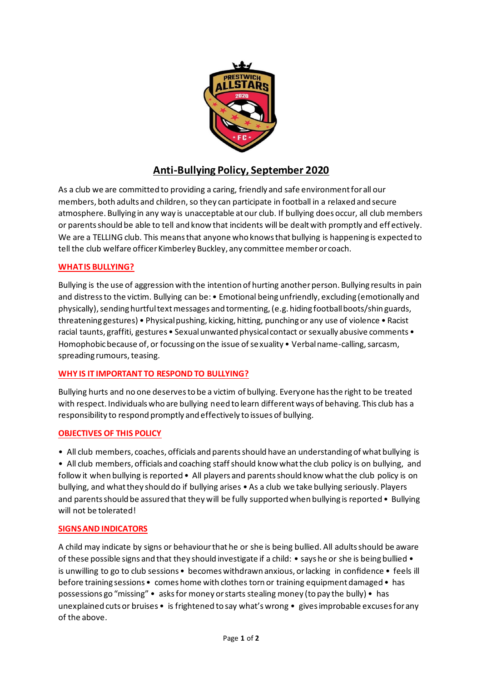

# **Anti-Bullying Policy, September 2020**

As a club we are committed to providing a caring, friendly and safe environment for all our members, both adults and children,so they can participate in football in a relaxed and secure atmosphere. Bullying in any way is unacceptable at our club. If bullying does occur, all club members or parents should be able to tell and know that incidents will be dealt with promptly and eff ectively. We are a TELLING club. This means that anyone who knows that bullying is happening is expected to tell the club welfare officer Kimberley Buckley, any committee member or coach.

## **WHAT IS BULLYING?**

Bullying is the use of aggression with the intention of hurting another person. Bullying results in pain and distress to the victim. Bullying can be: • Emotional being unfriendly, excluding (emotionally and physically), sending hurtful text messages and tormenting, (e.g. hiding football boots/shin guards, threatening gestures) • Physical pushing, kicking, hitting, punching or any use of violence • Racist racial taunts, graffiti, gestures • Sexual unwanted physical contact or sexually abusive comments • Homophobic because of, or focussing on the issue of sexuality • Verbal name-calling, sarcasm, spreading rumours, teasing.

### **WHY IS IT IMPORTANT TO RESPOND TO BULLYING?**

Bullying hurts and no one deserves to be a victim of bullying. Everyone has the right to be treated with respect. Individuals who are bullying need to learn different ways of behaving. This club has a responsibility to respond promptly and effectively to issues of bullying.

### **OBJECTIVES OF THIS POLICY**

• All club members, coaches, officials and parents should have an understanding of what bullying is

• All club members, officials and coaching staff should know what the club policy is on bullying, and follow it when bullying is reported • All players and parents should know what the club policy is on bullying, and what they should do if bullying arises • As a club we take bullying seriously. Players and parents should be assured that they will be fully supported when bullying is reported • Bullying will not be tolerated!

### **SIGNS AND INDICATORS**

A child may indicate by signs or behaviour that he or she is being bullied. All adults should be aware of these possible signs and that they should investigate if a child: • says he or she is being bullied • is unwilling to go to club sessions • becomes withdrawn anxious, or lacking in confidence • feels ill before training sessions • comes home with clothes torn or training equipment damaged • has possessions go "missing" • asks for money or starts stealing money (to pay the bully) • has unexplained cuts or bruises • is frightened to say what's wrong • gives improbable excuses for any of the above.